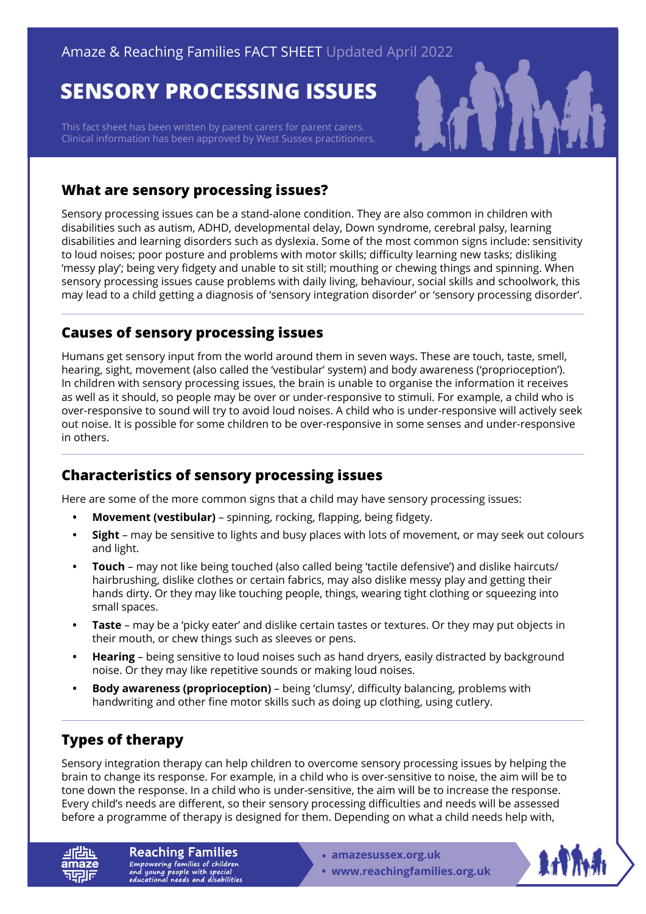# **SENSORY PROCESSING ISSUES**

This fact sheet has been written by parent carers for parent carers. Clinical information has been approved by West Sussex practitioners.



### **What are sensory processing issues?**

Sensory processing issues can be a stand-alone condition. They are also common in children with disabilities such as autism, ADHD, developmental delay, Down syndrome, cerebral palsy, learning disabilities and learning disorders such as dyslexia. Some of the most common signs include: sensitivity to loud noises; poor posture and problems with motor skills; difficulty learning new tasks; disliking 'messy play'; being very fidgety and unable to sit still; mouthing or chewing things and spinning. When sensory processing issues cause problems with daily living, behaviour, social skills and schoolwork, this may lead to a child getting a diagnosis of 'sensory integration disorder' or 'sensory processing disorder'.

### **Causes of sensory processing issues**

Humans get sensory input from the world around them in seven ways. These are touch, taste, smell, hearing, sight, movement (also called the 'vestibular' system) and body awareness ('proprioception'). In children with sensory processing issues, the brain is unable to organise the information it receives as well as it should, so people may be over or under-responsive to stimuli. For example, a child who is over-responsive to sound will try to avoid loud noises. A child who is under-responsive will actively seek out noise. It is possible for some children to be over-responsive in some senses and under-responsive in others.

### **Characteristics of sensory processing issues**

Here are some of the more common signs that a child may have sensory processing issues:

- **• Movement (vestibular)**  spinning, rocking, flapping, being fidgety.
- **• Sight**  may be sensitive to lights and busy places with lots of movement, or may seek out colours and light.
- **• Touch**  may not like being touched (also called being 'tactile defensive') and dislike haircuts/ hairbrushing, dislike clothes or certain fabrics, may also dislike messy play and getting their hands dirty. Or they may like touching people, things, wearing tight clothing or squeezing into small spaces.
- **• Taste**  may be a 'picky eater' and dislike certain tastes or textures. Or they may put objects in their mouth, or chew things such as sleeves or pens.
- **• Hearing**  being sensitive to loud noises such as hand dryers, easily distracted by background noise. Or they may like repetitive sounds or making loud noises.
- **• Body awareness (proprioception)**  being 'clumsy', difficulty balancing, problems with handwriting and other fine motor skills such as doing up clothing, using cutlery.

## **Types of therapy**

Sensory integration therapy can help children to overcome sensory processing issues by helping the brain to change its response. For example, in a child who is over-sensitive to noise, the aim will be to tone down the response. In a child who is under-sensitive, the aim will be to increase the response. Every child's needs are different, so their sensory processing difficulties and needs will be assessed before a programme of therapy is designed for them. Depending on what a child needs help with,

**Reaching Families** Empowering families of children<br>and young people with special<br>educational needs and disabilities

- **• amazesussex.org.uk**
- **[www.reachingfamilies.org.uk](https://www.reachingfamilies.org.uk)**